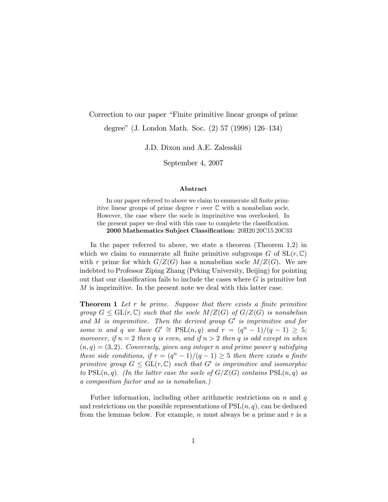## Correction to our paper "Finite primitive linear groups of prime"

degree" (J. London Math. Soc.  $(2)$  57 (1998) 126–134)

J.D. Dixon and A.E. Zalesskii

September 4, 2007

## Abstract

In our paper referred to above we claim to enumerate all finite primitive linear groups of prime degree  $r$  over  $\mathbb C$  with a nonabelian socle. However, the case where the socle is imprimitive was overlooked. In the present paper we deal with this case to complete the classification. 2000 Mathematics Subject Classification: 20H20 20C15 20C33

In the paper referred to above, we state a theorem (Theorem 1.2) in which we claim to enumerate all finite primitive subgroups G of  $SL(r, \mathbb{C})$ with r prime for which  $G/Z(G)$  has a nonabelian socle  $M/Z(G)$ . We are indebted to Professor Ziping Zhang (Peking University, Beijing) for pointing out that our classification fails to include the cases where  $G$  is primitive but  $M$  is imprimitive. In the present note we deal with this latter case.

**Theorem 1** Let r be prime. Suppose that there exists a finite primitive group  $G \le \text{GL}(r, \mathbb{C})$  such that the socle  $M/Z(G)$  of  $G/Z(G)$  is nonabelian and M is imprimitive. Then the derived group  $G'$  is imprimitive and for some n and q we have  $G' \cong \text{PSL}(n,q)$  and  $r = (q^n - 1)/(q - 1) \geq 5;$ moreover, if  $n = 2$  then q is even, and if  $n > 2$  then q is odd except in when  $(n, q) = (3, 2)$ . Conversely, given any integer n and prime power q satisfying these side conditions, if  $r = (q^n - 1)/(q - 1) \geq 5$  then there exists a finite primitive group  $G \le GL(r, \mathbb{C})$  such that  $G'$  is imprimitive and isomorphic to  $PSL(n,q)$ . (In the latter case the socle of  $G/Z(G)$  contains  $PSL(n,q)$  as a composition factor and so is nonabelian.)

Futher information, including other arithmetic restrictions on  $n$  and  $q$ and restrictions on the possible representations of  $PSL(n, q)$ , can be deduced from the lemmas below. For example,  $n$  must always be a prime and  $r$  is a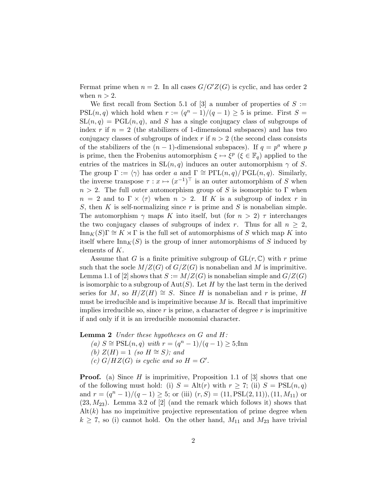Fermat prime when  $n = 2$ . In all cases  $G/G'Z(G)$  is cyclic, and has order 2 when  $n > 2$ .

We first recall from Section 5.1 of [3] a number of properties of  $S :=$ PSL $(n, q)$  which hold when  $r := (q^n - 1)/(q - 1) \ge 5$  is prime. First  $S =$  $SL(n, q) = PGL(n, q)$ , and S has a single conjugacy class of subgroups of index r if  $n = 2$  (the stabilizers of 1-dimensional subspaces) and has two conjugacy classes of subgroups of index r if  $n > 2$  (the second class consists of the stabilizers of the  $(n-1)$ -dimensional subspaces). If  $q = p^a$  where p is prime, then the Frobenius automorphism  $\xi \mapsto \xi^p$  ( $\xi \in \mathbb{F}_q$ ) applied to the entries of the matrices in  $SL(n, q)$  induces an outer automorphism  $\gamma$  of S. The group  $\Gamma := \langle \gamma \rangle$  has order a and  $\Gamma \cong \mathrm{P}\Gamma\mathrm{L}(n,q)/\mathrm{PGL}(n,q)$ . Similarly, the inverse transpose  $\tau : x \mapsto (x^{-1})^{\top}$  is an outer automorphism of S when  $n > 2$ . The full outer automorphism group of S is isomorphic to  $\Gamma$  when  $n = 2$  and to  $\Gamma \times \langle \tau \rangle$  when  $n > 2$ . If K is a subgroup of index r in S, then K is self-normalizing since r is prime and S is nonabelian simple. The automorphism  $\gamma$  maps K into itself, but (for  $n > 2$ )  $\tau$  interchanges the two conjugacy classes of subgroups of index r. Thus for all  $n \geq 2$ ,  $\text{Inn}_K(S)\Gamma \cong K \rtimes \Gamma$  is the full set of automorphisms of S which map K into itself where  $\text{Inn}_K(S)$  is the group of inner automorphisms of S induced by elements of K.

Assume that G is a finite primitive subgroup of  $GL(r, \mathbb{C})$  with r prime such that the socle  $M/Z(G)$  of  $G/Z(G)$  is nonabelian and M is imprimitive. Lemma 1.1 of [2] shows that  $S := M/Z(G)$  is nonabelian simple and  $G/Z(G)$ is isomorphic to a subgroup of  $Aut(S)$ . Let H by the last term in the derived series for M, so  $H/Z(H) \cong S$ . Since H is nonabelian and r is prime, H must be irreducible and is imprimitive because  $M$  is. Recall that imprimitive implies irreducible so, since  $r$  is prime, a character of degree  $r$  is imprimitive if and only if it is an irreducible monomial character.

**Lemma 2** Under these hypotheses on  $G$  and  $H$ :

(a)  $S \cong \text{PSL}(n, q)$  with  $r = (q^n - 1)/(q - 1) \geq 5;$ Inn (b)  $Z(H) = 1$  (so  $H \cong S$ ); and (c)  $G/HZ(G)$  is cyclic and so  $H = G'$ .

**Proof.** (a) Since H is imprimitive, Proposition 1.1 of  $\begin{bmatrix}3\end{bmatrix}$  shows that one of the following must hold: (i)  $S = Alt(r)$  with  $r \geq 7$ ; (ii)  $S = PSL(n, q)$ and  $r = (q^n - 1)/(q - 1) \ge 5$ ; or (iii)  $(r, S) = (11, PSL(2, 11)), (11, M_{11})$  or  $(23, M_{23})$ . Lemma 3.2 of [2] (and the remark which follows it) shows that  $Alt(k)$  has no imprimitive projective representation of prime degree when  $k \geq 7$ , so (i) cannot hold. On the other hand,  $M_{11}$  and  $M_{23}$  have trivial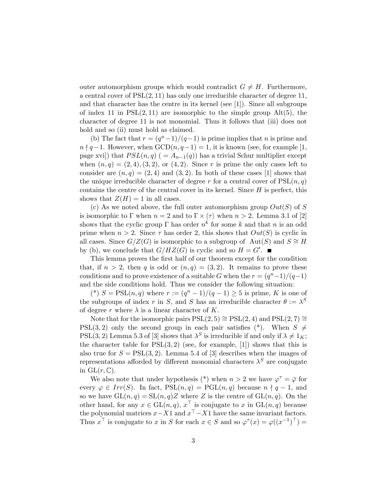outer automorphism groups which would contradict  $G \neq H$ . Furthermore, a central cover of  $PSL(2, 11)$  has only one irreducible character of degree 11, and that character has the centre in its kernel (see [1]). Since all subgroups of index 11 in  $PSL(2, 11)$  are isomorphic to the simple group  $Alt(5)$ , the character of degree 11 is not monomial. Thus it follows that (iii) does not hold and so (ii) must hold as claimed.

(b) The fact that  $r = (q^n - 1)/(q - 1)$  is prime implies that n is prime and  $n \nmid q-1$ . However, when  $GCD(n, q-1) = 1$ , it is known (see, for example [1, page xvi]) that  $PSL(n,q)$  ( =  $A_{n-1}(q)$ ) has a trivial Schur multiplier except when  $(n, q) = (2, 4), (3, 2),$  or  $(4, 2)$ . Since r is prime the only cases left to consider are  $(n, q) = (2, 4)$  and  $(3, 2)$ . In both of these cases [1] shows that the unique irreducible character of degree r for a central cover of  $PSL(n, q)$ contains the centre of the central cover in its kernel. Since  $H$  is perfect, this shows that  $Z(H) = 1$  in all cases.

(c) As we noted above, the full outer automorphism group  $Out(S)$  of S is isomorphic to  $\Gamma$  when  $n = 2$  and to  $\Gamma \times \langle \tau \rangle$  when  $n > 2$ . Lemma 3.1 of [2] shows that the cyclic group  $\Gamma$  has order  $n^k$  for some k and that n is an odd prime when  $n > 2$ . Since  $\tau$  has order 2, this shows that  $Out(S)$  is cyclic in all cases. Since  $G/Z(G)$  is isomorphic to a subgroup of Aut(S) and  $S \cong H$ by (b), we conclude that  $G/HZ(G)$  is cyclic and so  $H = G'$ .

This lemma proves the first half of our theorem except for the condition that, if  $n > 2$ , then q is odd or  $(n, q) = (3, 2)$ . It remains to prove these conditions and to prove existence of a suitable G when the  $r = (q^{n}-1)/(q-1)$ and the side conditions hold. Thus we consider the following situation:

(\*)  $S = \text{PSL}(n, q)$  where  $r := (q^n - 1)/(q - 1) \geq 5$  is prime, K is one of the subgroups of index r in S, and S has an irreducible character  $\theta := \lambda^S$ of degree r where  $\lambda$  is a linear character of K.

Note that for the isomorphic pairs  $PSL(2, 5) \cong PSL(2, 4)$  and  $PSL(2, 7) \cong$ PSL(3,2) only the second group in each pair satisfies (\*). When  $S \neq$ PSL(3, 2) Lemma 5.3 of [3] shows that  $\lambda^S$  is irreducible if and only if  $\lambda \neq 1_K$ ; the character table for  $PSL(3,2)$  (see, for example, [1]) shows that this is also true for  $S = \text{PSL}(3, 2)$ . Lemma 5.4 of [3] describes when the images of representations afforded by different monomial characters  $\lambda^S$  are conjugate in  $GL(r, \mathbb{C})$ .

We also note that under hypothesis (\*) when  $n > 2$  we have  $\varphi^{\tau} = \bar{\varphi}$  for every  $\varphi \in Irr(S)$ . In fact,  $PSL(n,q) = PGL(n,q)$  because  $n \nmid q-1$ , and so we have  $GL(n,q) = SL(n,q)Z$  where Z is the centre of  $GL(n,q)$ . On the other hand, for any  $x \in GL(n,q)$ ,  $x \perp$  is conjugate to x in  $GL(n,q)$  because the polynomial matrices  $x-X1$  and  $x<sup>1</sup>-X1$  have the same invariant factors. Thus  $x^{\top}$  is conjugate to x in S for each  $x \in S$  and so  $\varphi^{\tau}(x) = \varphi((x^{-1})^{\top}) =$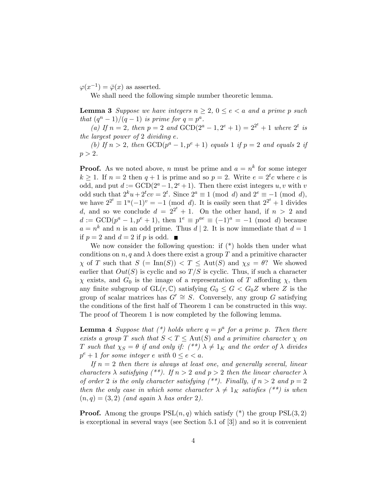$\varphi(x^{-1}) = \overline{\varphi}(x)$  as asserted.

We shall need the following simple number theoretic lemma.

**Lemma 3** Suppose we have integers  $n \geq 2$ ,  $0 \leq e \leq a$  and a prime p such that  $(q^n - 1)/(q - 1)$  is prime for  $q = p^a$ .

(a) If  $n = 2$ , then  $p = 2$  and  $GCD(2^a - 1, 2^e + 1) = 2^{2^t} + 1$  where  $2^t$  is the largest power of 2 dividing e.

(b) If  $n > 2$ , then  $GCD(p^a - 1, p^e + 1)$  equals 1 if  $p = 2$  and equals 2 if  $p > 2$ .

**Proof.** As we noted above, n must be prime and  $a = n^k$  for some integer  $k \geq 1$ . If  $n = 2$  then  $q + 1$  is prime and so  $p = 2$ . Write  $e = 2<sup>t</sup>c$  where c is odd, and put  $d := \text{GCD}(2^a - 1, 2^e + 1)$ . Then there exist integers  $u, v$  with v odd such that  $2^k u + 2^k cv = 2^t$ . Since  $2^a \equiv 1 \pmod{d}$  and  $2^e \equiv -1 \pmod{d}$ , we have  $2^{2^t} \equiv 1^u(-1)^v = -1$  (mod d). It is easily seen that  $2^{2^t} + 1$  divides d, and so we conclude  $d = 2^{2^t} + 1$ . On the other hand, if  $n > 2$  and  $d := \text{GCD}(p^a - 1, p^e + 1)$ , then  $1^e \equiv p^{ae} \equiv (-1)^a = -1 \pmod{d}$  because  $a = n^k$  and n is an odd prime. Thus  $d | 2$ . It is now immediate that  $d = 1$ if  $p = 2$  and  $d = 2$  if p is odd.

We now consider the following question: if  $(*)$  holds then under what conditions on n, q and  $\lambda$  does there exist a group T and a primitive character  $\chi$  of T such that  $S$  (= Inn(S))  $\lt T \le$  Aut(S) and  $\chi_S = \theta$ ? We showed earlier that  $Out(S)$  is cyclic and so  $T/S$  is cyclic. Thus, if such a character  $\chi$  exists, and  $G_0$  is the image of a representation of T affording  $\chi$ , then any finite subgroup of  $GL(r, \mathbb{C})$  satisfying  $G_0 \leq G < G_0 Z$  where Z is the group of scalar matrices has  $G' \cong S$ . Conversely, any group G satisfying the conditions of the first half of Theorem 1 can be constructed in this way. The proof of Theorem 1 is now completed by the following lemma.

**Lemma 4** Suppose that  $(*)$  holds where  $q = p^a$  for a prime p. Then there exists a group T such that  $S < T \leq$  Aut $(S)$  and a primitive character  $\chi$  on T such that  $\chi_S = \theta$  if and only if:  $({}^{**}) \lambda \neq 1_K$  and the order of  $\lambda$  divides  $p^e + 1$  for some integer e with  $0 \le e < a$ .

If  $n = 2$  then there is always at least one, and generally several, linear characters  $\lambda$  satisfying (\*\*). If  $n > 2$  and  $p > 2$  then the linear character  $\lambda$ of order 2 is the only character satisfying  $(*^*)$ . Finally, if  $n > 2$  and  $p = 2$ then the only case in which some character  $\lambda \neq 1_K$  satisfies (\*\*) is when  $(n, q) = (3, 2)$  (and again  $\lambda$  has order 2).

**Proof.** Among the groups  $PSL(n,q)$  which satisfy (\*) the group  $PSL(3,2)$ is exceptional in several ways (see Section 5.1 of [3]) and so it is convenient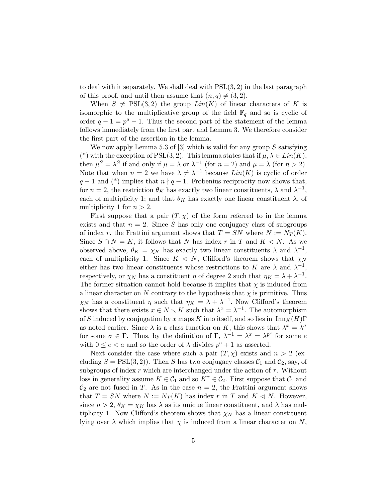to deal with it separately. We shall deal with  $PSL(3, 2)$  in the last paragraph of this proof, and until then assume that  $(n, q) \neq (3, 2)$ .

When  $S \neq \text{PSL}(3, 2)$  the group  $Lin(K)$  of linear characters of K is isomorphic to the multiplicative group of the field  $\mathbb{F}_q$  and so is cyclic of order  $q-1 = p^a - 1$ . Thus the second part of the statement of the lemma follows immediately from the first part and Lemma 3. We therefore consider the first part of the assertion in the lemma.

We now apply Lemma 5.3 of  $[3]$  which is valid for any group  $S$  satisfying (\*) with the exception of PSL(3, 2). This lemma states that if  $\mu, \lambda \in Lin(K)$ , then  $\mu^S = \lambda^S$  if and only if  $\mu = \lambda$  or  $\lambda^{-1}$  (for  $n = 2$ ) and  $\mu = \lambda$  (for  $n > 2$ ). Note that when  $n = 2$  we have  $\lambda \neq \lambda^{-1}$  because  $Lin(K)$  is cyclic of order  $q-1$  and (\*) implies that  $n \nmid q-1$ . Frobenius reciprocity now shows that, for  $n = 2$ , the restriction  $\theta_K$  has exactly two linear constituents,  $\lambda$  and  $\lambda^{-1}$ , each of multiplicity 1; and that  $\theta_K$  has exactly one linear constituent  $\lambda$ , of multiplicity 1 for  $n > 2$ .

First suppose that a pair  $(T, \chi)$  of the form referred to in the lemma exists and that  $n = 2$ . Since S has only one conjugacy class of subgroups of index r, the Frattini argument shows that  $T = SN$  where  $N := N_T(K)$ . Since  $S \cap N = K$ , it follows that N has index r in T and  $K \triangleleft N$ . As we observed above,  $\theta_K = \chi_K$  has exactly two linear constituents  $\lambda$  and  $\lambda^{-1}$ , each of multiplicity 1. Since  $K \triangleleft N$ , Clifford's theorem shows that  $\chi_N$ either has two linear constituents whose restrictions to K are  $\lambda$  and  $\lambda^{-1}$ , respectively, or  $\chi_N$  has a constituent  $\eta$  of degree 2 such that  $\eta_K = \lambda + \lambda^{-1}$ . The former situation cannot hold because it implies that  $\chi$  is induced from a linear character on N contrary to the hypothesis that  $\chi$  is primitive. Thus  $\chi_N$  has a constituent  $\eta$  such that  $\eta_K = \lambda + \lambda^{-1}$ . Now Clifford's theorem shows that there exists  $x \in N \setminus K$  such that  $\lambda^x = \lambda^{-1}$ . The automorphism of S induced by conjugation by x maps K into itself, and so lies in  $\text{Inn}_K(H)\Gamma$ as noted earlier. Since  $\lambda$  is a class function on K, this shows that  $\lambda^x = \lambda^{\sigma}$ for some  $\sigma \in \Gamma$ . Thus, by the definition of  $\Gamma$ ,  $\lambda^{-1} = \lambda^x = \lambda^{p^e}$  for some e with  $0 \le e < a$  and so the order of  $\lambda$  divides  $p^e + 1$  as asserted.

Next consider the case where such a pair  $(T, \chi)$  exists and  $n > 2$  (excluding  $S = \text{PSL}(3, 2)$ . Then S has two conjugacy classes  $\mathcal{C}_1$  and  $\mathcal{C}_2$ , say, of subgroups of index r which are interchanged under the action of  $\tau$ . Without loss in generality assume  $K \in \mathcal{C}_1$  and so  $K^{\tau} \in \mathcal{C}_2$ . First suppose that  $\mathcal{C}_1$  and  $\mathcal{C}_2$  are not fused in T. As in the case  $n = 2$ , the Frattini argument shows that  $T = SN$  where  $N := N_T(K)$  has index r in T and  $K \triangleleft N$ . However, since  $n > 2$ ,  $\theta_K = \chi_K$  has  $\lambda$  as its unique linear constituent, and  $\lambda$  has multiplicity 1. Now Clifford's theorem shows that  $\chi_N$  has a linear constituent lying over  $\lambda$  which implies that  $\chi$  is induced from a linear character on N,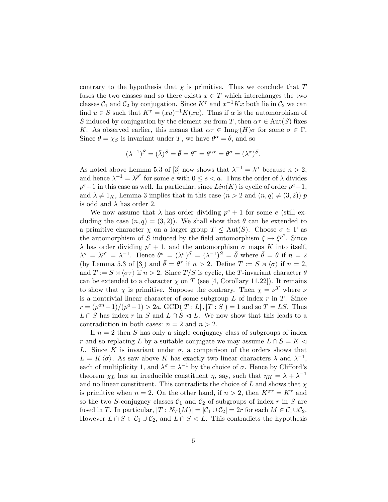contrary to the hypothesis that  $\chi$  is primitive. Thus we conclude that T fuses the two classes and so there exists  $x \in T$  which interchanges the two classes  $C_1$  and  $C_2$  by conjugation. Since  $K^{\tau}$  and  $x^{-1}Kx$  both lie in  $C_2$  we can find  $u \in S$  such that  $K^{\tau} = (xu)^{-1}K(xu)$ . Thus if  $\alpha$  is the automorphism of S induced by conjugation by the element xu from T, then  $\alpha \tau \in \text{Aut}(S)$  fixes K. As observed earlier, this means that  $\alpha \tau \in \text{Inn}_K(H)$  for some  $\sigma \in \Gamma$ . Since  $\theta = \chi_S$  is invariant under T, we have  $\theta^{\alpha} = \theta$ , and so

$$
(\lambda^{-1})^S = (\bar{\lambda})^S = \bar{\theta} = \theta^{\tau} = \theta^{\alpha \tau} = \theta^{\sigma} = (\lambda^{\sigma})^S.
$$

As noted above Lemma 5.3 of [3] now shows that  $\lambda^{-1} = \lambda^{\sigma}$  because  $n > 2$ , and hence  $\lambda^{-1} = \lambda^{p^e}$  for some e with  $0 \le e < a$ . Thus the order of  $\lambda$  divides  $p^e+1$  in this case as well. In particular, since  $Lin(K)$  is cyclic of order  $p^a-1$ , and  $\lambda \neq 1<sub>K</sub>$ , Lemma 3 implies that in this case  $(n > 2 \text{ and } (n, q) \neq (3, 2))$  p is odd and  $\lambda$  has order 2.

We now assume that  $\lambda$  has order dividing  $p^e + 1$  for some e (still excluding the case  $(n, q) = (3, 2)$ . We shall show that  $\theta$  can be extended to a primitive character  $\chi$  on a larger group  $T \leq \text{Aut}(S)$ . Choose  $\sigma \in \Gamma$  as the automorphism of S induced by the field automorphism  $\xi \mapsto \xi^{p^e}$ . Since  $\lambda$  has order dividing  $p^e + 1$ , and the automorphism  $\sigma$  maps K into itself,  $\lambda^{\sigma} = \lambda^{p^e} = \lambda^{-1}$ . Hence  $\theta^{\sigma} = (\lambda^{\sigma})^S = (\lambda^{-1})^S = \bar{\theta}$  where  $\bar{\theta} = \theta$  if  $n = 2$ (by Lemma 5.3 of [3]) and  $\bar{\theta} = \theta^{\tau}$  if  $n > 2$ . Define  $T := S \rtimes \langle \sigma \rangle$  if  $n = 2$ , and  $T := S \rtimes \langle \sigma \tau \rangle$  if  $n > 2$ . Since  $T/S$  is cyclic, the T-invariant character  $\theta$ can be extended to a character  $\chi$  on T (see [4, Corollary 11.22]). It remains to show that  $\chi$  is primitive. Suppose the contrary. Then  $\chi = \nu^T$  where  $\nu$ is a nontrivial linear character of some subgroup  $L$  of index  $r$  in  $T$ . Since  $r = (p^{an} - 1)/(p^{a} - 1) > 2a$ ,  $GCD(|T : L|, |T : S|) = 1$  and so  $T = LS$ . Thus  $L \cap S$  has index r in S and  $L \cap S \vartriangleleft L$ . We now show that this leads to a contradiction in both cases:  $n = 2$  and  $n > 2$ .

If  $n = 2$  then S has only a single conjugacy class of subgroups of index r and so replacing L by a suitable conjugate we may assume  $L \cap S = K \triangleleft$ L. Since K is invariant under  $\sigma$ , a comparison of the orders shows that  $L = K \langle \sigma \rangle$ . As saw above K has exactly two linear characters  $\lambda$  and  $\lambda^{-1}$ , each of multiplicity 1, and  $\lambda^{\sigma} = \lambda^{-1}$  by the choice of  $\sigma$ . Hence by Clifford's theorem  $\chi_L$  has an irreducible constituent  $\eta$ , say, such that  $\eta_K = \lambda + \lambda^{-1}$ and no linear constituent. This contradicts the choice of  $L$  and shows that  $\chi$ is primitive when  $n = 2$ . On the other hand, if  $n > 2$ , then  $K^{\sigma \tau} = K^{\tau}$  and so the two S-conjugacy classes  $C_1$  and  $C_2$  of subgroups of index r in S are fused in T. In particular,  $|T: N_T(M)| = |\mathcal{C}_1 \cup \mathcal{C}_2| = 2r$  for each  $M \in \mathcal{C}_1 \cup \mathcal{C}_2$ . However  $L \cap S \in C_1 \cup C_2$ , and  $L \cap S \triangleleft L$ . This contradicts the hypothesis